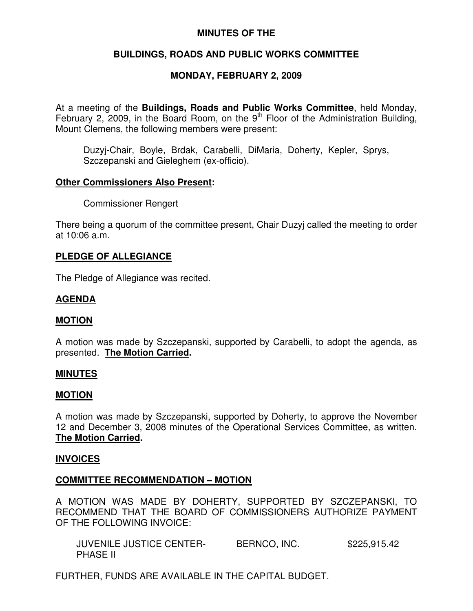### **MINUTES OF THE**

# **BUILDINGS, ROADS AND PUBLIC WORKS COMMITTEE**

# **MONDAY, FEBRUARY 2, 2009**

At a meeting of the **Buildings, Roads and Public Works Committee**, held Monday, February 2, 2009, in the Board Room, on the  $9<sup>th</sup>$  Floor of the Administration Building, Mount Clemens, the following members were present:

Duzyj-Chair, Boyle, Brdak, Carabelli, DiMaria, Doherty, Kepler, Sprys, Szczepanski and Gieleghem (ex-officio).

#### **Other Commissioners Also Present:**

Commissioner Rengert

There being a quorum of the committee present, Chair Duzyj called the meeting to order at 10:06 a.m.

### **PLEDGE OF ALLEGIANCE**

The Pledge of Allegiance was recited.

### **AGENDA**

#### **MOTION**

A motion was made by Szczepanski, supported by Carabelli, to adopt the agenda, as presented. **The Motion Carried.**

#### **MINUTES**

#### **MOTION**

A motion was made by Szczepanski, supported by Doherty, to approve the November 12 and December 3, 2008 minutes of the Operational Services Committee, as written. **The Motion Carried.**

### **INVOICES**

### **COMMITTEE RECOMMENDATION – MOTION**

A MOTION WAS MADE BY DOHERTY, SUPPORTED BY SZCZEPANSKI, TO RECOMMEND THAT THE BOARD OF COMMISSIONERS AUTHORIZE PAYMENT OF THE FOLLOWING INVOICE:

JUVENILE JUSTICE CENTER-<br>BERNCO, INC. \$225,915.42 PHASE II

FURTHER, FUNDS ARE AVAILABLE IN THE CAPITAL BUDGET.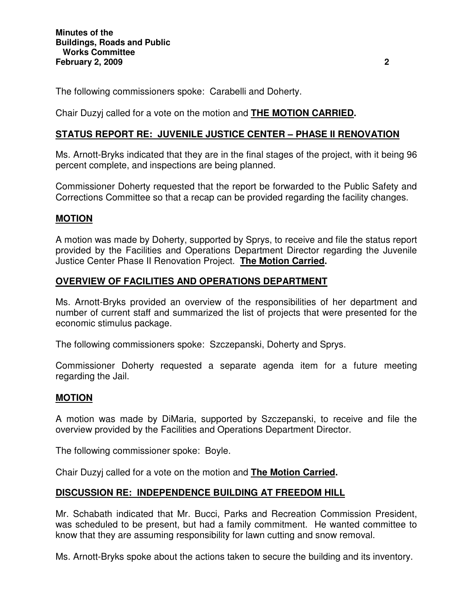The following commissioners spoke: Carabelli and Doherty.

# Chair Duzyj called for a vote on the motion and **THE MOTION CARRIED.**

# **STATUS REPORT RE: JUVENILE JUSTICE CENTER – PHASE II RENOVATION**

Ms. Arnott-Bryks indicated that they are in the final stages of the project, with it being 96 percent complete, and inspections are being planned.

Commissioner Doherty requested that the report be forwarded to the Public Safety and Corrections Committee so that a recap can be provided regarding the facility changes.

### **MOTION**

A motion was made by Doherty, supported by Sprys, to receive and file the status report provided by the Facilities and Operations Department Director regarding the Juvenile Justice Center Phase II Renovation Project. **The Motion Carried.**

#### **OVERVIEW OF FACILITIES AND OPERATIONS DEPARTMENT**

Ms. Arnott-Bryks provided an overview of the responsibilities of her department and number of current staff and summarized the list of projects that were presented for the economic stimulus package.

The following commissioners spoke: Szczepanski, Doherty and Sprys.

Commissioner Doherty requested a separate agenda item for a future meeting regarding the Jail.

### **MOTION**

A motion was made by DiMaria, supported by Szczepanski, to receive and file the overview provided by the Facilities and Operations Department Director.

The following commissioner spoke: Boyle.

Chair Duzyj called for a vote on the motion and **The Motion Carried.**

### **DISCUSSION RE: INDEPENDENCE BUILDING AT FREEDOM HILL**

Mr. Schabath indicated that Mr. Bucci, Parks and Recreation Commission President, was scheduled to be present, but had a family commitment. He wanted committee to know that they are assuming responsibility for lawn cutting and snow removal.

Ms. Arnott-Bryks spoke about the actions taken to secure the building and its inventory.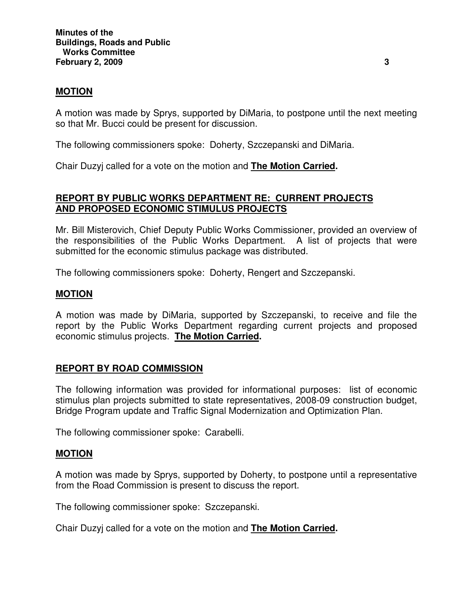#### **MOTION**

A motion was made by Sprys, supported by DiMaria, to postpone until the next meeting so that Mr. Bucci could be present for discussion.

The following commissioners spoke: Doherty, Szczepanski and DiMaria.

Chair Duzyj called for a vote on the motion and **The Motion Carried.**

#### **REPORT BY PUBLIC WORKS DEPARTMENT RE: CURRENT PROJECTS AND PROPOSED ECONOMIC STIMULUS PROJECTS**

Mr. Bill Misterovich, Chief Deputy Public Works Commissioner, provided an overview of the responsibilities of the Public Works Department. A list of projects that were submitted for the economic stimulus package was distributed.

The following commissioners spoke: Doherty, Rengert and Szczepanski.

#### **MOTION**

A motion was made by DiMaria, supported by Szczepanski, to receive and file the report by the Public Works Department regarding current projects and proposed economic stimulus projects. **The Motion Carried.**

### **REPORT BY ROAD COMMISSION**

The following information was provided for informational purposes: list of economic stimulus plan projects submitted to state representatives, 2008-09 construction budget, Bridge Program update and Traffic Signal Modernization and Optimization Plan.

The following commissioner spoke: Carabelli.

#### **MOTION**

A motion was made by Sprys, supported by Doherty, to postpone until a representative from the Road Commission is present to discuss the report.

The following commissioner spoke: Szczepanski.

Chair Duzyj called for a vote on the motion and **The Motion Carried.**